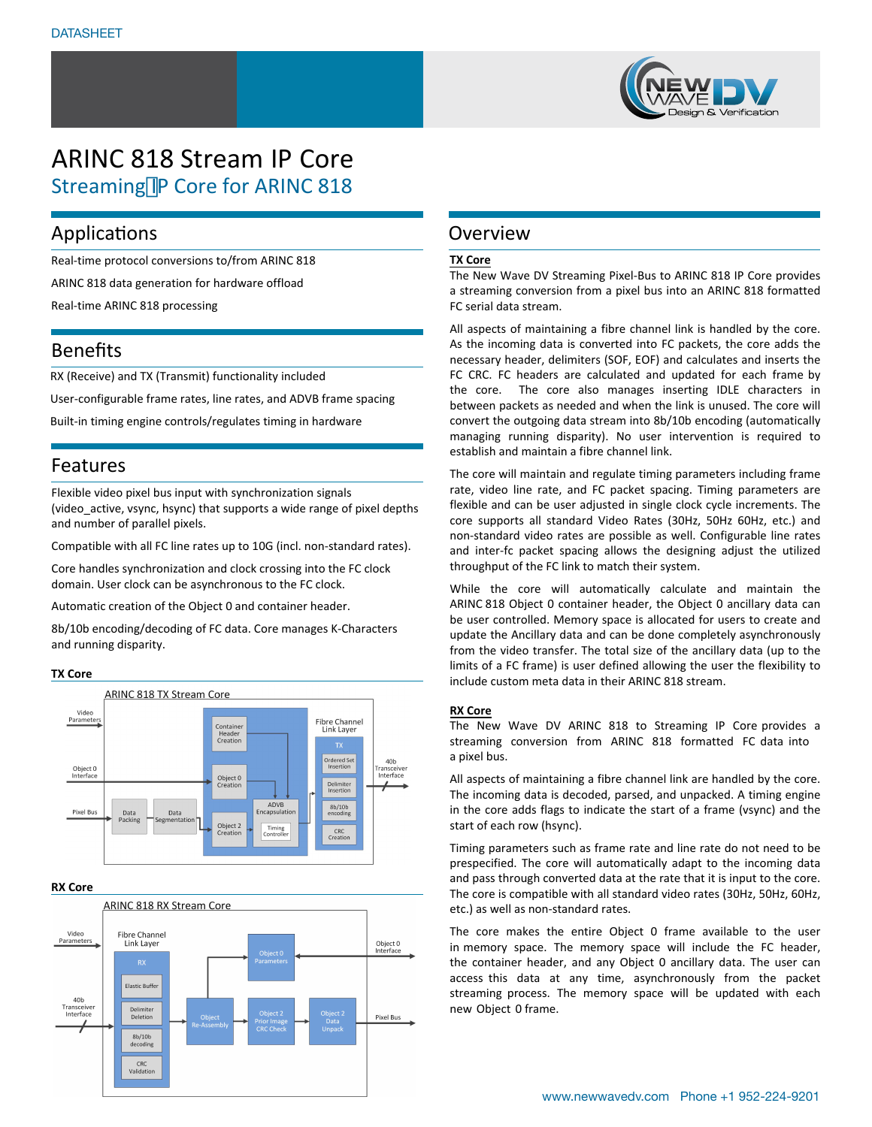

# ARINC 818 Stream IP Core Streaming IP Core for ARINC 818

## Applications

Real-time protocol conversions to/from ARINC 818

ARINC 818 data generation for hardware offload

Real-time ARINC 818 processing

## Benefits

RX (Receive) and TX (Transmit) functionality included

User-configurable frame rates, line rates, and ADVB frame spacing

Built-in timing engine controls/regulates timing in hardware

### Features

Flexible video pixel bus input with synchronization signals (video\_active, vsync, hsync) that supports a wide range of pixel depths and number of parallel pixels.

Compatible with all FC line rates up to 10G (incl. non-standard rates).

Core handles synchronization and clock crossing into the FC clock domain. User clock can be asynchronous to the FC clock.

Automatic creation of the Object 0 and container header.

8b/10b encoding/decoding of FC data. Core manages K-Characters and running disparity.

#### **TX Core**



#### **RX Core**



## Overview

#### **TX Core**

The New Wave DV Streaming Pixel-Bus to ARINC 818 IP Core provides a streaming conversion from a pixel bus into an ARINC 818 formatted FC serial data stream.

All aspects of maintaining a fibre channel link is handled by the core. As the incoming data is converted into FC packets, the core adds the necessary header, delimiters (SOF, EOF) and calculates and inserts the FC CRC. FC headers are calculated and updated for each frame by the core. The core also manages inserting IDLE characters in between packets as needed and when the link is unused. The core will convert the outgoing data stream into 8b/10b encoding (automatically managing running disparity). No user intervention is required to establish and maintain a fibre channel link.

The core will maintain and regulate timing parameters including frame rate, video line rate, and FC packet spacing. Timing parameters are flexible and can be user adjusted in single clock cycle increments. The core supports all standard Video Rates (30Hz, 50Hz 60Hz, etc.) and non-standard video rates are possible as well. Configurable line rates and inter-fc packet spacing allows the designing adjust the utilized throughput of the FC link to match their system.

While the core will automatically calculate and maintain the ARINC 818 Object 0 container header, the Object 0 ancillary data can be user controlled. Memory space is allocated for users to create and update the Ancillary data and can be done completely asynchronously from the video transfer. The total size of the ancillary data (up to the limits of a FC frame) is user defined allowing the user the flexibility to include custom meta data in their ARINC 818 stream.

#### **RX Core**

The New Wave DV ARINC 818 to Streaming IP Core provides a streaming conversion from ARINC 818 formatted FC data into a pixel bus.

All aspects of maintaining a fibre channel link are handled by the core. The incoming data is decoded, parsed, and unpacked. A timing engine in the core adds flags to indicate the start of a frame (vsync) and the start of each row (hsync).

Timing parameters such as frame rate and line rate do not need to be prespecified. The core will automatically adapt to the incoming data and pass through converted data at the rate that it is input to the core. The core is compatible with all standard video rates (30Hz, 50Hz, 60Hz, etc.) as well as non-standard rates.

The core makes the entire Object 0 frame available to the user in memory space. The memory space will include the FC header, the container header, and any Object 0 ancillary data. The user can access this data at any time, asynchronously from the packet streaming process. The memory space will be updated with each new Object 0 frame.